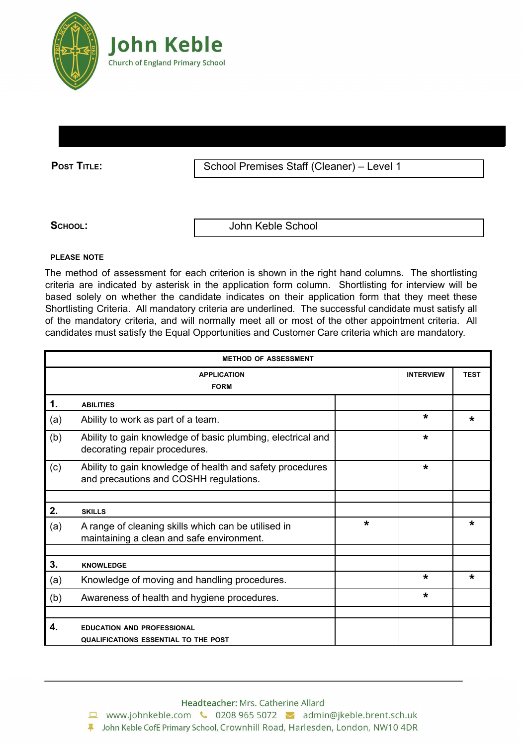

**POST TITLE:** School Premises Staff (Cleaner) – Level 1

**SCHOOL:** John Keble School

## **PLEASE NOTE**

The method of assessment for each criterion is shown in the right hand columns. The shortlisting criteria are indicated by asterisk in the application form column. Shortlisting for interview will be based solely on whether the candidate indicates on their application form that they meet these Shortlisting Criteria. All mandatory criteria are underlined. The successful candidate must satisfy all of the mandatory criteria, and will normally meet all or most of the other appointment criteria. All candidates must satisfy the Equal Opportunities and Customer Care criteria which are mandatory.

| <b>METHOD OF ASSESSMENT</b>       |                                                                                                     |         |                  |             |  |
|-----------------------------------|-----------------------------------------------------------------------------------------------------|---------|------------------|-------------|--|
| <b>APPLICATION</b><br><b>FORM</b> |                                                                                                     |         | <b>INTERVIEW</b> | <b>TEST</b> |  |
| 1.                                | <b>ABILITIES</b>                                                                                    |         |                  |             |  |
| (a)                               | Ability to work as part of a team.                                                                  |         | $\star$          | *           |  |
| (b)                               | Ability to gain knowledge of basic plumbing, electrical and<br>decorating repair procedures.        |         | $\star$          |             |  |
| (c)                               | Ability to gain knowledge of health and safety procedures<br>and precautions and COSHH regulations. |         | $\star$          |             |  |
|                                   |                                                                                                     |         |                  |             |  |
| 2.                                | <b>SKILLS</b>                                                                                       |         |                  |             |  |
| (a)                               | A range of cleaning skills which can be utilised in<br>maintaining a clean and safe environment.    | $\star$ |                  | $\star$     |  |
|                                   |                                                                                                     |         |                  |             |  |
| 3.                                | <b>KNOWLEDGE</b>                                                                                    |         |                  |             |  |
| (a)                               | Knowledge of moving and handling procedures.                                                        |         | $\star$          | *           |  |
| (b)                               | Awareness of health and hygiene procedures.                                                         |         | $\star$          |             |  |
|                                   |                                                                                                     |         |                  |             |  |
| 4.                                | <b>EDUCATION AND PROFESSIONAL</b><br><b>QUALIFICATIONS ESSENTIAL TO THE POST</b>                    |         |                  |             |  |

Headteacher: Mrs. Catherine Allard

□ www.johnkeble.com ↓ 0208 965 5072 → admin@jkeble.brent.sch.uk

4 John Keble CofE Primary School, Crownhill Road, Harlesden, London, NW10 4DR